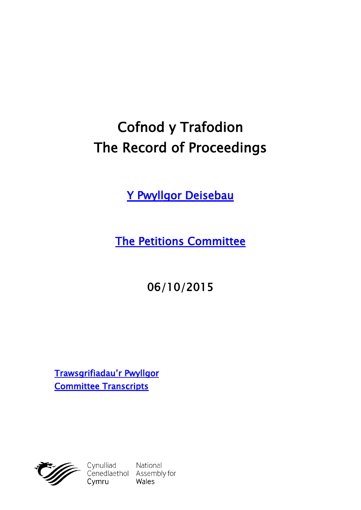# **Cofnod y Trafodion The Record of Proceedings**

**[Y Pwyllgor Deisebau](http://cynulliad.cymru/SeneddDeisebau)**

**[The Petitions Committee](http://assembly.wales/SeneddPetitions)**

**06/10/2015**

**[Trawsgrifiadau'r Pwyllgor](http://www.senedd.cynulliad.cymru/mgIssueHistoryHome.aspx?IId=1310) [Committee Transcripts](http://www.senedd.assembly.wales/mgIssueHistoryHome.aspx?IId=1310)**



Cynulliad National<br>Cenedlaethol Assembly for<br>Cymru Wales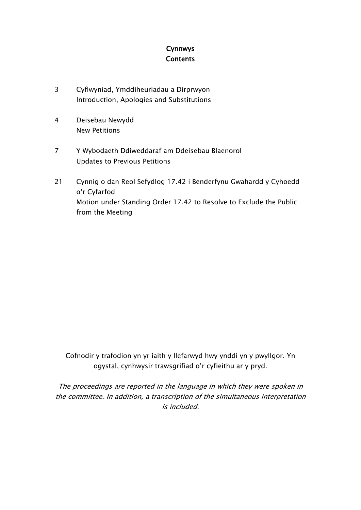## **Cynnwys Contents**

- [3](#page-2-0) Cyflwyniad, [Ymddiheuriadau](#page-2-0) a Dirprwyon Introduction, Apologies and [Substitutions](#page-2-0)
- [4](#page-3-0) [Deisebau](#page-3-0) Newydd New [Petitions](#page-3-0)
- [7](#page-6-0) Y Wybodaeth [Ddiweddaraf](#page-6-0) am Ddeisebau Blaenorol Updates to Previous [Petitions](#page-6-0)
- [21](#page-20-0) Cynnig o dan Reol Sefydlog 17.42 i [Benderfynu](#page-20-0) Gwahardd y Cyhoedd o'r [Cyfarfod](#page-20-0) Motion under [Standing](#page-20-0) Order 17.42 to Resolve to Exclude the Public from the [Meeting](#page-20-0)

Cofnodir y trafodion yn yr iaith y llefarwyd hwy ynddi yn y pwyllgor. Yn ogystal, cynhwysir trawsgrifiad o'r cyfieithu ar y pryd.

*The proceedings are reported in the language in which they were spoken in the committee. In addition, <sup>a</sup> transcription of the simultaneous interpretation is included.*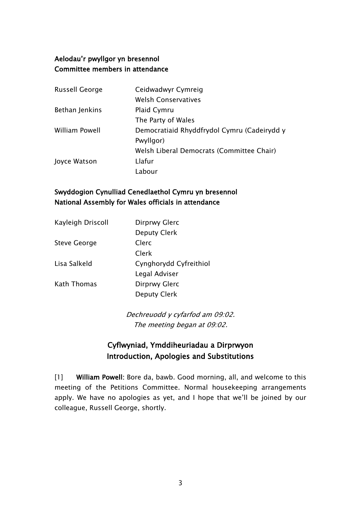## **Aelodau'r pwyllgor yn bresennol Committee members in attendance**

| <b>Russell George</b> | Ceidwadwyr Cymreig                          |
|-----------------------|---------------------------------------------|
|                       | <b>Welsh Conservatives</b>                  |
| Bethan Jenkins        | Plaid Cymru                                 |
|                       | The Party of Wales                          |
| William Powell        | Democratiaid Rhyddfrydol Cymru (Cadeirydd y |
|                       | Pwyllgor)                                   |
|                       | Welsh Liberal Democrats (Committee Chair)   |
| Joyce Watson          | Llafur                                      |
|                       | Labour                                      |

## **Swyddogion Cynulliad Cenedlaethol Cymru yn bresennol National Assembly for Wales officials in attendance**

| Kayleigh Driscoll   | Dirprwy Glerc          |
|---------------------|------------------------|
|                     | <b>Deputy Clerk</b>    |
| <b>Steve George</b> | Clerc                  |
|                     | Clerk                  |
| Lisa Salkeld        | Cynghorydd Cyfreithiol |
|                     | Legal Adviser          |
| Kath Thomas         | Dirprwy Glerc          |
|                     | <b>Deputy Clerk</b>    |
|                     |                        |

*Dechreuodd y cyfarfod am 09:02. The meeting began at 09:02.*

# <span id="page-2-0"></span>**Cyflwyniad, Ymddiheuriadau a Dirprwyon Introduction, Apologies and Substitutions**

[1] **William Powell:** Bore da, bawb. Good morning, all, and welcome to this meeting of the Petitions Committee. Normal housekeeping arrangements apply. We have no apologies as yet, and I hope that we'll be joined by our colleague, Russell George, shortly.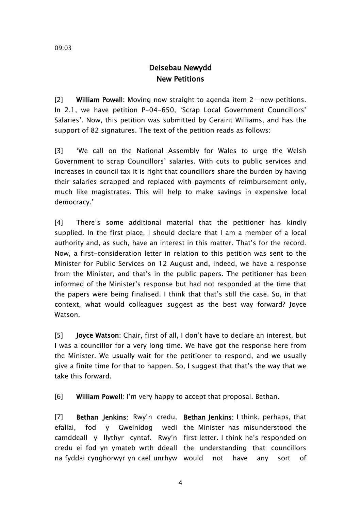# <span id="page-3-0"></span>**Deisebau Newydd New Petitions**

[2] **William Powell:** Moving now straight to agenda item 2—new petitions. In 2.1, we have petition P-04-650, 'Scrap Local Government Councillors' Salaries'. Now, this petition was submitted by Geraint Williams, and has the support of 82 signatures. The text of the petition reads as follows:

[3] 'We call on the National Assembly for Wales to urge the Welsh Government to scrap Councillors' salaries. With cuts to public services and increases in council tax it is right that councillors share the burden by having their salaries scrapped and replaced with payments of reimbursement only, much like magistrates. This will help to make savings in expensive local democracy.'

[4] There's some additional material that the petitioner has kindly supplied. In the first place, I should declare that I am a member of a local authority and, as such, have an interest in this matter. That's for the record. Now, a first-consideration letter in relation to this petition was sent to the Minister for Public Services on 12 August and, indeed, we have a response from the Minister, and that's in the public papers. The petitioner has been informed of the Minister's response but had not responded at the time that the papers were being finalised. I think that that's still the case. So, in that context, what would colleagues suggest as the best way forward? Joyce Watson.

[5] **Joyce Watson:** Chair, first of all, I don't have to declare an interest, but I was a councillor for a very long time. We have got the response here from the Minister. We usually wait for the petitioner to respond, and we usually give a finite time for that to happen. So, I suggest that that's the way that we take this forward.

[6] **William Powell:** I'm very happy to accept that proposal. Bethan.

[7] **Bethan Jenkins:** Rwy'n credu, **Bethan Jenkins:** I think, perhaps, that efallai, fod y Gweinidog wedi the Minister has misunderstood the camddeall y llythyr cyntaf. Rwy'n first letter. I think he's responded on credu ei fod yn ymateb wrth ddeall the understanding that councillors na fyddai cynghorwyr yn cael unrhyw have any sort of

4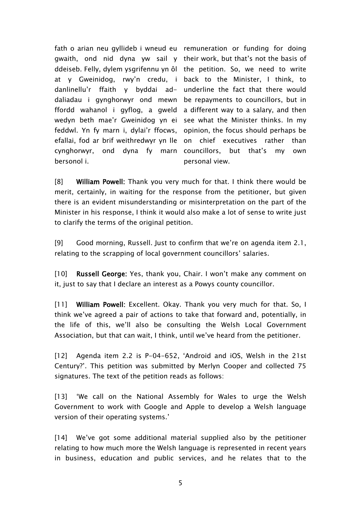fath o arian neu gyllideb i wneud eu remuneration or funding for doing gwaith, ond nid dyna yw sail y their work, but that's not the basis of ddeiseb. Felly, dylem ysgrifennu yn ôl the petition. So, we need to write at y Gweinidog, rwy'n credu, i back to the Minister, I think, to danlinellu'r ffaith y byddai ad-underline the fact that there would daliadau i gynghorwyr ond mewn be repayments to councillors, but in ffordd wahanol i gyflog, a gweld a different way to a salary, and then wedyn beth mae'r Gweinidog yn ei see what the Minister thinks. In my feddwl. Yn fy marn i, dylai'r ffocws, opinion, the focus should perhaps be efallai, fod ar brif weithredwyr yn lle on chief executives rather than cynghorwyr, ond dyna fy marn councillors, but that's my own bersonol i.

personal view.

[8] **William Powell:** Thank you very much for that. I think there would be merit, certainly, in waiting for the response from the petitioner, but given there is an evident misunderstanding or misinterpretation on the part of the Minister in his response, I think it would also make a lot of sense to write just to clarify the terms of the original petition.

[9] Good morning, Russell. Just to confirm that we're on agenda item 2.1, relating to the scrapping of local government councillors' salaries.

[10] **Russell George:** Yes, thank you, Chair. I won't make any comment on it, just to say that I declare an interest as a Powys county councillor.

[11] **William Powell:** Excellent.Okay. Thank you very much for that. So, I think we've agreed a pair of actions to take that forward and, potentially, in the life of this, we'll also be consulting the Welsh Local Government Association, but that can wait, I think, until we've heard from the petitioner.

[12] Agenda item 2.2 is P-04-652, 'Android and iOS, Welsh in the 21st Century?'. This petition was submitted by Merlyn Cooper and collected 75 signatures. The text of the petition reads as follows:

[13] 'We call on the National Assembly for Wales to urge the Welsh Government to work with Google and Apple to develop a Welsh language version of their operating systems.'

[14] We've got some additional material supplied also by the petitioner relating to how much more the Welsh language is represented in recent years in business, education and public services, and he relates that to the

5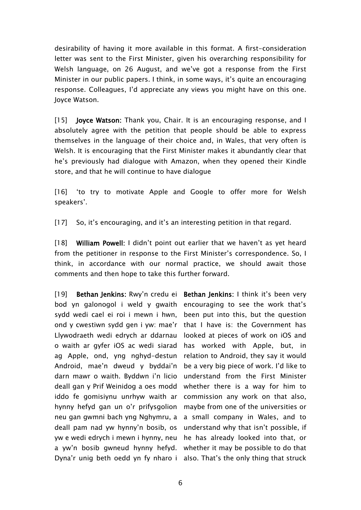desirability of having it more available in this format. A first-consideration letter was sent to the First Minister, given his overarching responsibility for Welsh language, on 26 August, and we've got a response from the First Minister in our public papers. I think, in some ways, it's quite an encouraging response. Colleagues, I'd appreciate any views you might have on this one. Joyce Watson.

[15] **Joyce Watson:** Thank you, Chair. It is an encouraging response, and I absolutely agree with the petition that people should be able to express themselves in the language of their choice and, in Wales, that very often is Welsh. It is encouraging that the First Minister makes it abundantly clear that he's previously had dialogue with Amazon, when they opened their Kindle store, and that he will continue to have dialogue

[16] 'to try to motivate Apple and Google to offer more for Welsh speakers'.

[17] So, it's encouraging, and it's an interesting petition in that regard.

[18] **William Powell:** I didn't point out earlier that we haven't as yet heard from the petitioner in response to the First Minister's correspondence. So, I think, in accordance with our normal practice, we should await those comments and then hope to take this further forward.

[19] **Bethan Jenkins:** Rwy'n credu ei **Bethan Jenkins:** I think it's been very bod yn galonogol i weld y gwaith encouraging to see the work that's sydd wedi cael ei roi i mewn i hwn, ond y cwestiwn sydd gen i yw: mae'r that I have is: the Government has Llywodraeth wedi edrych ar ddarnau o waith ar gyfer iOS ac wedi siarad ag Apple, ond, yng nghyd-destun Android, mae'n dweud y byddai'n darn mawr o waith. Byddwn i'n licio deall gan y Prif Weinidog a oes modd iddo fe gomisiynu unrhyw waith ar commission any work on that also, hynny hefyd gan un o'r prifysgolion neu gan gwmni bach yng Nghymru, a a small company in Wales, and to deall pam nad yw hynny'n bosib, os yw e wedi edrych i mewn i hynny, neu he has already looked into that, or a yw'n bosib gwneud hynny hefyd. whether it may be possible to do that Dyna'r unig beth oedd yn fy nharo i also. That's the only thing that struck

been put into this, but the question looked at pieces of work on iOS and has worked with Apple, but, in relation to Android, they say it would be a very big piece of work. I'd like to understand from the First Minister whether there is a way for him to maybe from one of the universities or understand why that isn't possible, if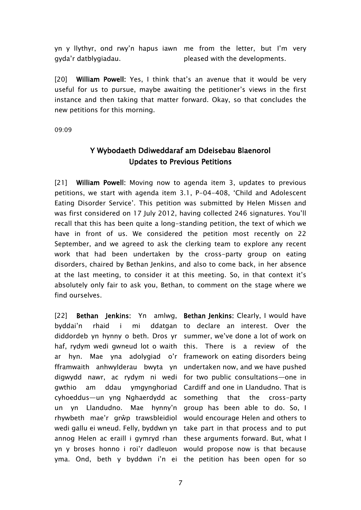yn y llythyr, ond rwy'n hapus iawn me from the letter, but I'm very gyda'r datblygiadau. pleased with the developments.

[20] **William Powell:** Yes, I think that's an avenue that it would be very useful for us to pursue, maybe awaiting the petitioner's views in the first instance and then taking that matter forward. Okay, so that concludes the new petitions for this morning.

09:09

## <span id="page-6-0"></span>**Y Wybodaeth Ddiweddaraf am Ddeisebau Blaenorol Updates to Previous Petitions**

[21] **William Powell:** Moving now to agenda item 3, updates to previous petitions, we start with agenda item 3.1, P-04-408, 'Child and Adolescent Eating Disorder Service'. This petition was submitted by Helen Missen and was first considered on 17 July 2012, having collected 246 signatures. You'll recall that this has been quite a long-standing petition, the text of which we have in front of us. We considered the petition most recently on 22 September, and we agreed to ask the clerking team to explore any recent work that had been undertaken by the cross-party group on eating disorders, chaired by Bethan Jenkins, and also to come back, in her absence at the last meeting, to consider it at this meeting. So, in that context it's absolutely only fair to ask you, Bethan, to comment on the stage where we find ourselves.

[22] **Bethan Jenkins**: Yn amlwg, **BethanJenkins**: Clearly, I would have byddai'n rhaid i mi diddordeb yn hynny o beth. Dros yr summer, we've done a lot of work on haf, rydym wedi gwneud lot o waith this. There is a review of the ar hyn. Mae yna adolygiad o'r framework on eating disorders being fframwaith anhwylderau bwyta yn undertaken now, and we have pushed digwydd nawr, ac rydym ni wedi for two public consultations—one in gwthio am ddau ymgynghoriad Cardiff and one in Llandudno. That is cyhoeddus—un yng Nghaerdydd ac something that the cross-party un yn Llandudno. Mae hynny'n group has been able to do. So, I rhywbeth mae'r grŵp trawsbleidiol would encourage Helen and others to wedi gallu ei wneud. Felly, byddwn yn take part in that process and to put annog Helen ac eraill i gymryd rhan these arguments forward. But, what I yn y broses honno i roi'r dadleuon would propose now is that because yma. Ond, beth y byddwn i'n ei the petition has been open for so

ddatgan to declare an interest. Over the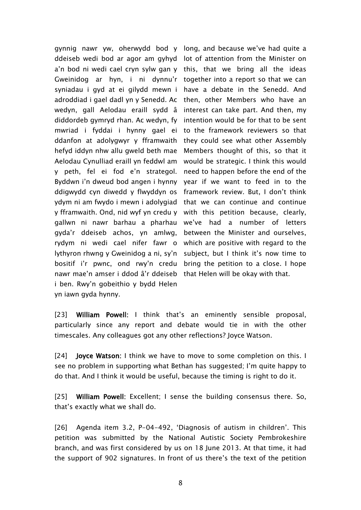gynnig nawr yw, oherwydd bod y long, and because we've had quite a ddeiseb wedi bod ar agor am gyhyd lot of attention from the Minister on a'n bod ni wedi cael cryn sylw gan y this, that we bring all the ideas Gweinidog ar hyn, i ni dynnu'r together into a report so that we can syniadau i gyd at ei gilydd mewn i have a debate in the Senedd. And adroddiad i gael dadl yn y Senedd. Ac then, other Members who have an wedyn, gall Aelodau eraill sydd â interest can take part. And then, my diddordeb gymryd rhan. Ac wedyn, fy intention would be for that to be sent mwriad i fyddai i hynny gael ei to the framework reviewers so that ddanfon at adolygwyr y fframwaith they could see what other Assembly hefyd iddyn nhw allu gweld beth mae Aelodau Cynulliad eraill yn feddwl am would be strategic. I think this would y peth, fel ei fod e'n strategol. need to happen before the end of the Byddwn i'n dweud bod angen i hynny year if we want to feed in to the ddigwydd cyn diwedd y flwyddyn os framework review. But, I don't think ydym ni am fwydo i mewn i adolygiad  $\,$  that  $\,$  we $\,$  can $\,$  conti $\,$  continue and continue  $\,$ y fframwaith. Ond, nid wyf yn credu y with this petition because, clearly, gallwn ni nawr barhau a pharhau we've had a number of letters gyda'r ddeiseb achos, yn amlwg, between the Minister and ourselves, rydym ni wedi cael nifer fawr o which-are-positive-with-regard-to-the lythyron rhwng y Gweinidog a ni, sy'n subject, but I think it's now time to bositif i'r pwnc, ond rwy'n credu bring the petition to a close. I hope nawr mae'n amser i ddod â'r ddeiseb that Helen will be okay with that. i ben. Rwy'n gobeithio y bydd Helen yn iawn gyda hynny.

Members thought of this, so that it

[23] **William Powell:** I think that's an eminently sensible proposal, particularly since any report and debate would tie in with the other timescales. Any colleagues got any other reflections? Joyce Watson.

[24] **Joyce Watson:** I think we have to move to some completion on this. I see no problem in supporting what Bethan has suggested; I'm quite happy to do that. And I think it would be useful, because the timing is right to do it.

[25] **William Powell:** Excellent; I sense the building consensus there. So, that's exactly what we shall do.

[26] Agenda item 3.2, P-04-492, 'Diagnosis of autism in children'. This petition was submitted by the National Autistic Society Pembrokeshire branch, and was first considered by us on 18 June 2013. At that time, it had the support of 902 signatures. In front of us there's the text of the petition

8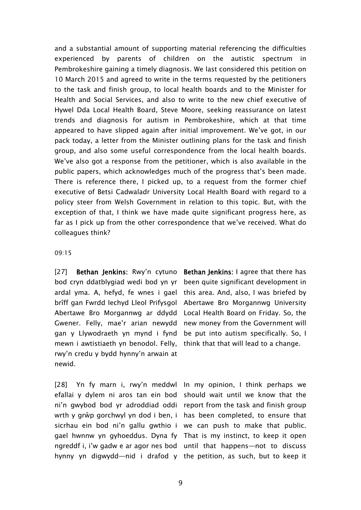and a substantial amount of supporting material referencing the difficulties experienced by parents of children on the autistic spectrum in Pembrokeshire gaining a timely diagnosis. We last considered this petition on 10 March 2015 and agreed to write in the terms requested by the petitioners to the task and finish group, to local health boards and to the Minister for Health and Social Services, and also to write to the new chief executive of Hywel Dda Local Health Board, Steve Moore, seeking reassurance on latest trends and diagnosis for autism in Pembrokeshire, which at that time appeared to have slipped again after initial improvement. We've got, in our pack today, a letter from the Minister outlining plans for the task and finish group, and also some useful correspondence from the local health boards. We've also got a response from the petitioner, which is also available in the public papers, which acknowledges much of the progress that's been made. There is reference there, I picked up, to a request from the former chief executive of Betsi Cadwaladr University Local Health Board with regard to a policy steer from Welsh Government in relation to this topic. But, with the exception of that, I think we have made quite significant progress here, as far as I pick up from the other correspondence that we've received. What do colleagues think?

#### 09:15

[27] **Bethan Jenkins:** Rwy'n cytuno **Bethan Jenkins:** I agree that there has bod cryn ddatblygiad wedi bod yn yr been quite significant development in ardal yma. A, hefyd, fe wnes i gael this area. And, also, I was briefed by brîff gan Fwrdd Iechyd Lleol Prifysgol Abertawe Bro Morgannwg University Abertawe Bro Morgannwg ar ddydd Local Health Board on Friday. So, the Gwener. Felly, mae'r arian newydd gan y Llywodraeth yn mynd i fynd be put into autism specifically. So, I mewn i awtistiaeth yn benodol. Felly, think that that will lead to a change. rwy'n credu y bydd hynny'n arwain at newid.

[28] Yn fy marn i, rwy'n meddwl In my opinion, I think perhaps we efallai y dylem ni aros tan ein bod should wait until we know that the ni'n gwybod bod yr adroddiad oddi report from the task and finish group wrth y grŵp gorchwyl yn dod i ben, i has been completed, to ensure that sicrhau ein bod ni'n gallu gwthio i we can push to make that public. gael hwnnw yn gyhoeddus. Dyna fy That is my instinct, to keep it open ngreddf i, i'w gadw e ar agor nes bod until that happens—not to discuss

new money from the Government will

hynny yn digwydd—nid i drafod y the petition, as such, but to keep it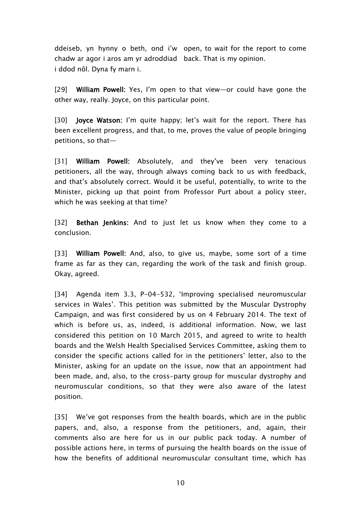ddeiseb, yn hynny o beth, ond i'w open, to wait for the report to come chadw ar agor i aros am yr adroddiad back. That is my opinion. i ddod nôl. Dyna fy marn i.

[29] **William Powell:** Yes, I'm open to that view—or could have gone the other way, really. Joyce, on this particular point.

[30] **Joyce Watson:** I'm quite happy; let's wait for the report. There has been excellent progress, and that, to me, proves the value of people bringing petitions, so that—

[31] **William Powell:** Absolutely, and they've been very tenacious petitioners, all the way, through always coming back to us with feedback, and that's absolutely correct. Would it be useful, potentially, to write to the Minister, picking up that point from Professor Purt about a policy steer, which he was seeking at that time?

[32] **Bethan Jenkins:** And to just let us know when they come to a conclusion.

[33] **William Powell:** And, also, to give us, maybe, some sort of a time frame as far as they can, regarding the work of the task and finish group. Okay, agreed.

[34] Agenda item 3.3, P-04-532, 'Improving specialised neuromuscular services in Wales'. This petition was submitted by the Muscular Dystrophy Campaign, and was first considered by us on 4 February 2014. The text of which is before us, as, indeed, is additional information. Now, we last considered this petition on 10 March 2015, and agreed to write to health boards and the Welsh Health Specialised Services Committee, asking them to consider the specific actions called for in the petitioners' letter, also to the Minister, asking for an update on the issue, now that an appointment had been made, and, also, to the cross-party group for muscular dystrophy and neuromuscular conditions, so that they were also aware of the latest position.

[35] We've got responses from the health boards, which are in the public papers, and, also, a response from the petitioners, and, again, their comments also are here for us in our public pack today. A number of possible actions here, in terms of pursuing the health boards on the issue of how the benefits of additional neuromuscular consultant time, which has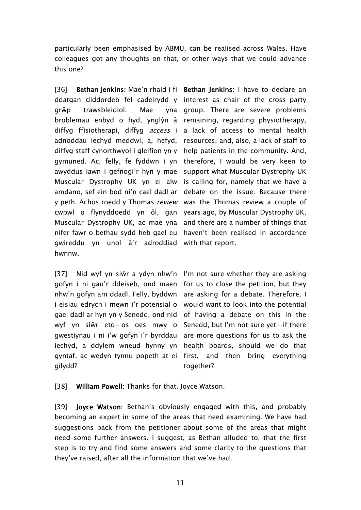particularly been emphasised by ABMU, can be realised across Wales. Have colleagues got any thoughts on that, or other ways that we could advance this one?

[36] **Bethan Jenkins:** Mae'n rhaid i fi **Bethan Jenkins:** I have to declare an ddatgan diddordeb fel cadeirydd y interest as chair of the cross-party grŵp trawsbleidiol. Mae broblemau enbyd o hyd, ynglŷn â remaining, regarding physiotherapy, diffyg ffisiotherapi, diffyg *access* i a lack of access to mental health adnoddau iechyd meddwl, a, hefyd, resources, and, also, a lack of staff to diffyg staff cynorthwyol i gleifion yn y help patients in the community. And, gymuned. Ac, felly, fe fyddwn i yn therefore, I would be very keen to awyddus iawn i gefnogi'r hyn y mae Muscular Dystrophy UK yn ei alw is calling for, namely that we have a amdano, sef ein bod ni'n cael dadl ar y peth. Achos roedd y Thomas *review* was the Thomas review a couple of cwpwl o flynyddoedd yn ôl, gan years ago, by Muscular Dystrophy UK, Muscular Dystrophy UK, ac mae yna and there are a number of things that nifer fawr o bethau sydd heb gael eu haven't been realised in accordance gwireddu yn unol â'r adroddiad with that report. hwnnw.

[37] Nid wyf yn siŵr a ydyn nhw'n I'm not sure whether they are asking gofyn i ni gau'r ddeiseb, ond maen for us to close the petition, but they nhw'n gofyn am ddadl. Felly, byddwn are asking for a debate. Therefore, I i eisiau edrych i mewn i'r potensial o would want to look into the potential gael dadl ar hyn yn y Senedd, ond nid of having a debate on this in the wyf yn siŵr eto—os oes mwy o Senedd, but I'm not sure yet—if there gwestiynau i ni i'w gofyn i'r byrddau are more questions for us to ask the iechyd, a ddylem wneud hynny yn health boards, should we do that gyntaf, ac wedyn tynnu popeth at ei first, and then bring everything gilydd?

yna group. There are severe problems support what Muscular Dystrophy UK debate on the issue. Because there

together?

[38] **William Powell:** Thanks for that. Joyce Watson.

[39] **Joyce Watson:** Bethan's obviously engaged with this, and probably becoming an expert in some of the areas that need examining. We have had suggestions back from the petitioner about some of the areas that might need some further answers. I suggest, as Bethan alluded to, that the first step is to try and find some answers and some clarity to the questions that they've raised, after all the information that we've had.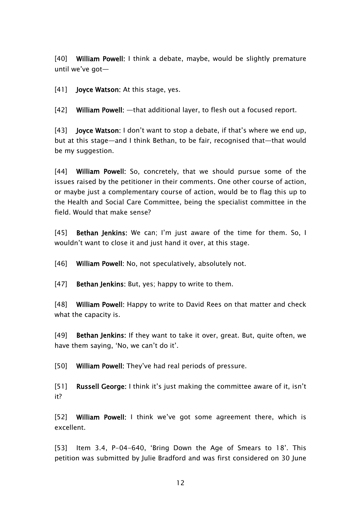[40] **William Powell:** I think a debate, maybe, would be slightly premature until we've got—

[41] **Joyce Watson:** At this stage, yes.

[42] **William Powell:** —that additional layer, to flesh out a focused report.

[43] **Joyce Watson:** I don't want to stop a debate, if that's where we end up, but at this stage—and I think Bethan, to be fair, recognised that—that would be my suggestion.

[44] **William Powell:** So, concretely, that we should pursue some of the issues raised by the petitioner in their comments. One other course of action, or maybe just a complementary course of action, would be to flag this up to the Health and Social Care Committee, being the specialist committee in the field. Would that make sense?

[45] **Bethan Jenkins:** We can; I'm just aware of the time for them. So, I wouldn't want to close it and just hand it over, at this stage.

[46] **William Powell:** No, not speculatively, absolutely not.

[47] **Bethan Jenkins:** But, yes; happy to write to them.

[48] **William Powell:** Happy to write to David Rees on that matter and check what the capacity is.

[49] **Bethan Jenkins:** If they want to take it over, great. But, quite often, we have them saying, 'No, we can't do it'.

[50] **William Powell:** They've had real periods of pressure.

[51] **Russell George:** I think it's just making the committee aware of it, isn't it?

[52] **William Powell:** I think we've got some agreement there, which is excellent.

[53] Item 3.4, P-04-640, 'Bring Down the Age of Smears to 18'. This petition was submitted by Julie Bradford and was first considered on 30 June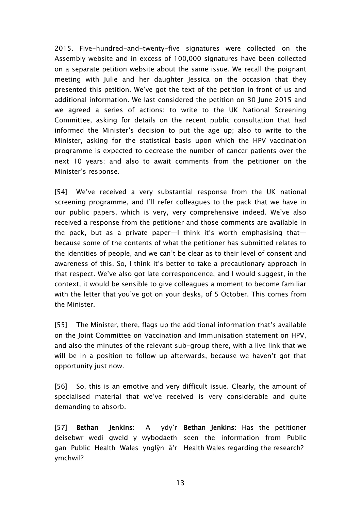2015. Five-hundred-and-twenty-five signatures were collected on the Assembly website and in excess of 100,000 signatures have been collected on a separate petition website about the same issue. We recall the poignant meeting with Julie and her daughter Jessica on the occasion that they presented this petition. We've got the text of the petition in front of us and additional information. We last considered the petition on 30 June 2015 and we agreed a series of actions: to write to the UK National Screening Committee, asking for details on the recent public consultation that had informed the Minister's decision to put the age up; also to write to the Minister, asking for the statistical basis upon which the HPV vaccination programme is expected to decrease the number of cancer patients over the next 10 years; and also to await comments from the petitioner on the Minister's response.

[54] We've received a very substantial response from the UK national screening programme, and I'll refer colleagues to the pack that we have in our public papers, which is very, very comprehensive indeed. We've also received a response from the petitioner and those comments are available in the pack, but as a private paper—I think it's worth emphasising that because some of the contents of what the petitioner has submitted relates to the identities of people, and we can't be clear as to their level of consent and awareness of this. So, I think it's better to take a precautionary approach in that respect. We've also got late correspondence, and I would suggest, in the context, it would be sensible to give colleagues a moment to become familiar with the letter that you've got on your desks, of 5 October. This comes from the Minister.

[55] The Minister, there, flags up the additional information that's available on the Joint Committee on Vaccination and Immunisation statement on HPV, and also the minutes of the relevant sub-group there, with a live link that we will be in a position to follow up afterwards, because we haven't got that opportunity just now.

[56] So, this is an emotive and very difficult issue. Clearly, the amount of specialised material that we've received is very considerable and quite demanding to absorb.

[57] **Bethan Jenkins:** A deisebwr wedi gweld y wybodaeth seen the information from Public gan Public Health Wales ynglŷn â'r Health Wales regarding the research?ymchwil? **Bethan Jenkins:** Has the petitioner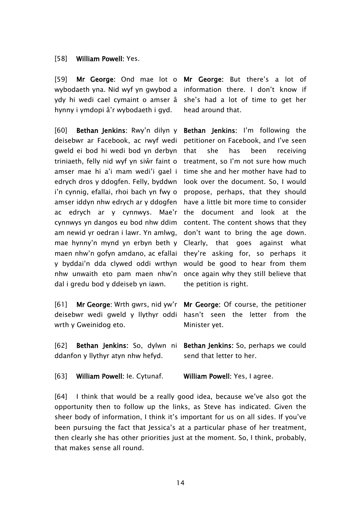### [58] **William Powell:** Yes.

[59] **Mr George:** Ond mae lot o **Mr George:** But there's a lot of wybodaeth yna. Nid wyf yn gwybod a information there. I don't know if ydy hi wedi cael cymaint o amser â she's had a lot of time to get her hynny i ymdopi â'r wybodaeth i gyd.

[60] **Bethan Jenkins:** Rwy'n dilyn y deisebwr ar Facebook, ac rwyf wedi gweld ei bod hi wedi bod yn derbyn triniaeth, felly nid wyf yn siŵr faint o amser mae hi a'i mam wedi'i gael i edrych dros y ddogfen. Felly, byddwn i'n cynnig, efallai, rhoi bach yn fwy o amser iddyn nhw edrych ar y ddogfen ac edrych ar y cynnwys. Mae'r cynnwys yn dangos eu bod nhw ddim am newid yr oedran i lawr. Yn amlwg, mae hynny'n mynd yn erbyn beth y maen nhw'n gofyn amdano, ac efallai y byddai'n dda clywed oddi wrthyn nhw unwaith eto pam maen nhw'n dal i gredu bod y ddeiseb yn iawn.

[61] **Mr George:** Wrth gwrs, nid yw'r deisebwr wedi gweld y llythyr oddi hasn't seen the letter from the wrth y Gweinidog eto.

head around that.

**Bethan Jenkins:** I'm following the petitioner on Facebook, and I've seen that she has been receiving treatment, so I'm not sure how much time she and her mother have had to look over the document. So, I would propose, perhaps, that they should have a little bit more time to consider the document and look at the content. The content shows that they don't want to bring the age down. Clearly, that goes against what they're asking for, so perhaps it would be good to hear from them once again why they still believe that the petition is right.

**Mr George:** Of course, the petitioner Minister yet.

[62] **Bethan Jenkins:** So, dylwn ni ddanfon y llythyr atyn nhw hefyd. **Bethan Jenkins:** So, perhaps we could send that letter to her.

[63] **William Powell:** Ie. Cytunaf. **William Powell:** Yes, I agree.

[64] I think that would be a really good idea, because we've also got the opportunity then to follow up the links, as Steve has indicated. Given the sheer body of information, I think it's important for us on all sides. If you've been pursuing the fact that Jessica's at a particular phase of her treatment, then clearly she has other priorities just at the moment. So, I think, probably, that makes sense all round.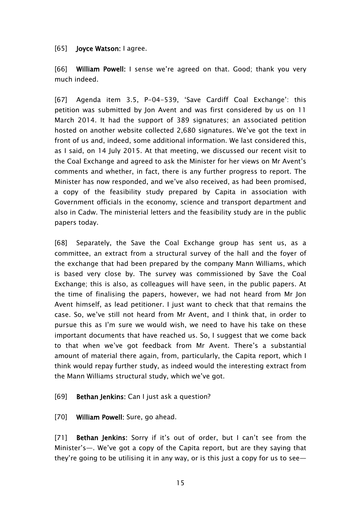## [65] **Joyce Watson:** I agree.

[66] **William Powell:** I sense we're agreed on that. Good; thank you very much indeed.

[67] Agenda item 3.5, P-04-539, 'Save Cardiff Coal Exchange': this petition was submitted by Jon Avent and was first considered by us on 11 March 2014. It had the support of 389 signatures; an associated petition hosted on another website collected 2,680 signatures. We've got the text in front of us and, indeed, some additional information. We last considered this, as I said, on 14 July 2015. At that meeting, we discussed our recent visit to the Coal Exchange and agreed to ask the Minister for her views on Mr Avent's comments and whether, in fact, there is any further progress to report. The Minister has now responded, and we've also received, as had been promised, a copy of the feasibility study prepared by Capita in association with Government officials in the economy, science and transport department and also in Cadw. The ministerial letters and the feasibility study are in the public papers today.

[68] Separately, the Save the Coal Exchange group has sent us, as a committee, an extract from a structural survey of the hall and the foyer of the exchange that had been prepared by the company Mann Williams, which is based very close by. The survey was commissioned by Save the Coal Exchange; this is also, as colleagues will have seen, in the public papers. At the time of finalising the papers, however, we had not heard from Mr Jon Avent himself, as lead petitioner. I just want to check that that remains the case. So, we've still not heard from Mr Avent, and I think that, in order to pursue this as I'm sure we would wish, we need to have his take on these important documents that have reached us. So, I suggest that we come back to that when we've got feedback from Mr Avent. There's a substantial amount of material there again, from, particularly, the Capita report, which I think would repay further study, as indeed would the interesting extract from the Mann Williams structural study, which we've got.

## [69] **Bethan Jenkins:** Can I just ask a question?

## [70] **William Powell:** Sure, go ahead.

[71] **Bethan Jenkins:** Sorry if it's out of order, but I can't see from the Minister's—. We've got a copy of the Capita report, but are they saying that they're going to be utilising it in any way, or is this just a copy for us to see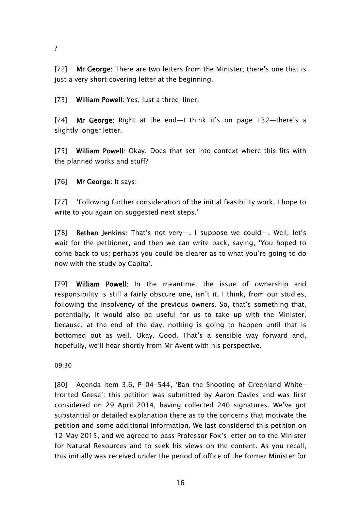?

[72] **Mr George:** There are two letters from the Minister; there's one that is just a very short covering letter at the beginning.

[73] **William Powell:** Yes, just a three-liner.

[74] **Mr George:** Right at the end—I think it's on page 132—there's a slightly longer letter.

[75] **William Powell:** Okay. Does that set into context where this fits with the planned works and stuff?

[76] **Mr George:** It says:

[77] 'Following further consideration of the initial feasibility work, I hope to write to you again on suggested next steps.'

[78] **Bethan Jenkins:** That's not very—. I suppose we could—. Well, let's wait for the petitioner, and then we can write back, saying, 'You hoped to come back to us; perhaps you could be clearer as to what you're going to do now with the study by Capita'.

[79] **William Powell:** In the meantime, the issue of ownership and responsibility is still a fairly obscure one, isn't it, I think, from our studies, following the insolvency of the previous owners. So, that's something that, potentially, it would also be useful for us to take up with the Minister, because, at the end of the day, nothing is going to happen until that is bottomed out as well. Okay. Good. That's a sensible way forward and, hopefully, we'll hear shortly from Mr Avent with his perspective.

09:30

[80] Agenda item 3.6, P-04-544, 'Ban the Shooting of Greenland Whitefronted Geese': this petition was submitted by Aaron Davies and was first considered on 29 April 2014, having collected 240 signatures. We've got substantial or detailed explanation there as to the concerns that motivate the petition and some additional information. We last considered this petition on 12 May 2015, and we agreed to pass Professor Fox's letter on to the Minister for Natural Resources and to seek his views on the content. As you recall, this initially was received under the period of office of the former Minister for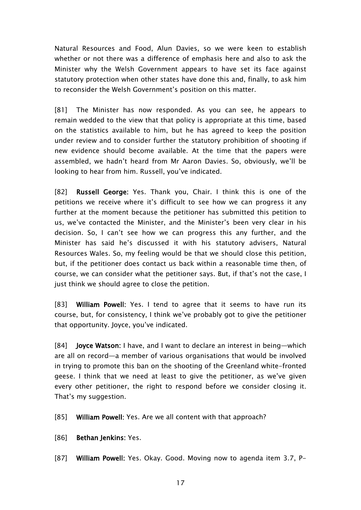Natural Resources and Food, Alun Davies, so we were keen to establish whether or not there was a difference of emphasis here and also to ask the Minister why the Welsh Government appears to have set its face against statutory protection when other states have done this and, finally, to ask him to reconsider the Welsh Government's position on this matter.

[81] The Minister has now responded. As you can see, he appears to remain wedded to the view that that policy is appropriate at this time, based on the statistics available to him, but he has agreed to keep the position under review and to consider further the statutory prohibition of shooting if new evidence should become available. At the time that the papers were assembled, we hadn't heard from Mr Aaron Davies. So, obviously, we'll be looking to hear from him. Russell, you've indicated.

[82] **Russell George:** Yes. Thank you, Chair. I think this is one of the petitions we receive where it's difficult to see how we can progress it any further at the moment because the petitioner has submitted this petition to us, we've contacted the Minister, and the Minister's been very clear in his decision. So, I can't see how we can progress this any further, and the Minister has said he's discussed it with his statutory advisers, Natural Resources Wales. So, my feeling would be that we should close this petition, but, if the petitioner does contact us back within a reasonable time then, of course, we can consider what the petitioner says. But, if that's not the case, I just think we should agree to close the petition.

[83] **William Powell:** Yes. I tend to agree that it seems to have run its course, but, for consistency, I think we've probably got to give the petitioner that opportunity. Joyce, you've indicated.

[84] **Joyce Watson:** I have, and I want to declare an interest in being—which are all on record—a member of various organisations that would be involved in trying to promote this ban on the shooting of the Greenland white-fronted geese. I think that we need at least to give the petitioner, as we've given every other petitioner, the right to respond before we consider closing it. That's my suggestion.

[85] **William Powell:** Yes. Are we all content with that approach?

[86] **Bethan Jenkins:** Yes.

[87] **William Powell:** Yes. Okay. Good. Moving now to agenda item 3.7, P-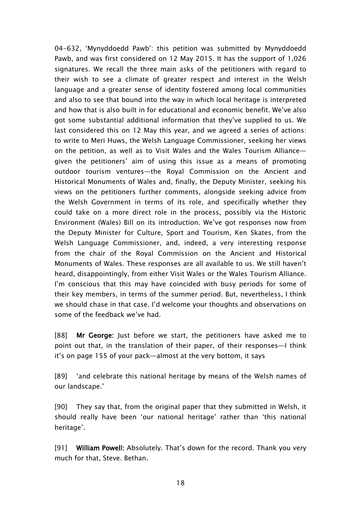04-632, 'Mynyddoedd Pawb': this petition was submitted by Mynyddoedd Pawb, and was first considered on 12 May 2015. It has the support of 1,026 signatures. We recall the three main asks of the petitioners with regard to their wish to see a climate of greater respect and interest in the Welsh language and a greater sense of identity fostered among local communities and also to see that bound into the way in which local heritage is interpreted and how that is also built in for educational and economic benefit. We've also got some substantial additional information that they've supplied to us. We last considered this on 12 May this year, and we agreed a series of actions: to write to Meri Huws, the Welsh Language Commissioner, seeking her views on the petition, as well as to Visit Wales and the Wales Tourism Alliance given the petitioners' aim of using this issue as a means of promoting outdoor tourism ventures—the Royal Commission on the Ancient and Historical Monuments of Wales and, finally, the Deputy Minister, seeking his views on the petitioners further comments, alongside seeking advice from the Welsh Government in terms of its role, and specifically whether they could take on a more direct role in the process, possibly via the Historic Environment (Wales) Bill on its introduction. We've got responses now from the Deputy Minister for Culture, Sport and Tourism, Ken Skates, from the Welsh Language Commissioner, and, indeed, a very interesting response from the chair of the Royal Commission on the Ancient and Historical Monuments of Wales. These responses are all available to us. We still haven't heard, disappointingly, from either Visit Wales or the Wales Tourism Alliance. I'm conscious that this may have coincided with busy periods for some of their key members, in terms of the summer period. But, nevertheless, I think we should chase in that case. I'd welcome your thoughts and observations on some of the feedback we've had.

[88] **Mr George:** Just before we start, the petitioners have asked me to point out that, in the translation of their paper, of their responses—I think it's on page 155 of your pack—almost at the very bottom, it says

[89] 'and celebrate this national heritage by means of the Welsh names of our landscape.'

[90] They say that, from the original paper that they submitted in Welsh, it should really have been 'our national heritage' rather than 'this national heritage'.

[91] **William Powell:** Absolutely. That's down for the record. Thank you very much for that, Steve. Bethan.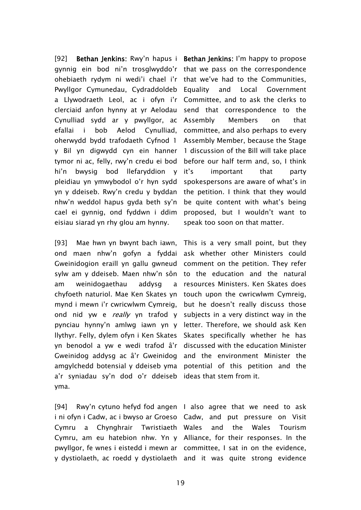[92] **Bethan Jenkins:** Rwy'n hapus i gynnig ein bod ni'n trosglwyddo'r that we pass on the correspondence ohebiaeth rydym ni wedi'i chael i'r that we've had to the Communities, Pwyllgor Cymunedau, Cydraddoldeb Equality and Local Government a Llywodraeth Leol, ac i ofyn i'r clerciaid anfon hynny at yr Aelodau Cynulliad sydd ar y pwyllgor, ac efallai i bob Aelod Cynulliad, oherwydd bydd trafodaeth Cyfnod 1 y Bil yn digwydd cyn ein hanner tymor ni ac, felly, rwy'n credu ei bod hi'n bwysig bod llefaryddion y pleidiau yn ymwybodol o'r hyn sydd yn y ddeiseb. Rwy'n credu y byddan nhw'n weddol hapus gyda beth sy'n cael ei gynnig, ond fyddwn i ddim eisiau siarad yn rhy glou am hynny.

[93] Mae hwn yn bwynt bach iawn, ond maen nhw'n gofyn a fyddai ask whether other Ministers could Gweinidogion eraill yn gallu gwneud comment on the petition. They refer sylw am y ddeiseb. Maen nhw'n sôn am weinidogaethau addysg chyfoeth naturiol. Mae Ken Skates yn touch upon the cwricwlwm Cymreig, mynd i mewn i'r cwricwlwm Cymreig, but he doesn't really discuss those ond nid yw e *really* yn trafod y subjects in a very distinct way in the pynciau hynny'n amlwg iawn yn y letter. Therefore, we should ask Ken llythyr. Felly, dylem ofyn i Ken Skates Skates specifically whether he has yn benodol a yw e wedi trafod â'r discussed with the education Minister Gweinidog addysg ac â'r Gweinidog and the environment Minister the amgylchedd botensial y ddeiseb yma potential of this petition and the a'r syniadau sy'n dod o'r ddeiseb ideas that stem from it. yma.

[94] Rwy'n cytuno hefyd fod angen I also agree that we need to ask i ni ofyn i Cadw, ac i bwyso ar Groeso Cadw, and put pressure on Visit Cymru a Chynghrair Twristiaeth Cymru, am eu hatebion nhw. Yn y Alliance, for their responses. In the pwyllgor, fe wnes i eistedd i mewn ar committee, I sat in on the evidence,

**Bethan Jenkins:** I'm happy to propose Committee, and to ask the clerks to send that correspondence to the Assembly Members on that committee, and also perhaps to every Assembly Member, because the Stage 1 discussion of the Bill will take place before our half term and, so, I think it's important that party spokespersons are aware of what's in the petition. I think that they would be quite content with what's being proposed, but I wouldn't want to speak too soon on that matter.

This is a very small point, but they to the education and the natural a resources Ministers. Ken Skates does

y dystiolaeth, ac roedd y dystiolaeth and it was quite strong evidenceand the Wales Tourism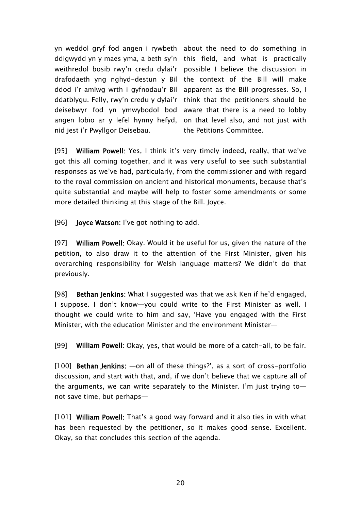yn weddol gryf fod angen i rywbeth about the need to do something in ddigwydd yn y maes yma, a beth sy'n this field, and what is practically weithredol bosib rwy'n credu dylai'r possible I believe the discussion in drafodaeth yng nghyd-destun y Bil the context of the Bill will make ddod i'r amlwg wrth i gyfnodau'r Bil apparent as the Bill progresses. So, I ddatblygu. Felly, rwy'n credu y dylai'r deisebwyr fod yn ymwybodol bod angen lobïo ar y lefel hynny hefyd, nid jest i'r Pwyllgor Deisebau.

think that the petitioners should be aware that there is a need to lobby on that level also, and not just with the Petitions Committee.

[95] **William Powell:** Yes, I think it's very timely indeed, really, that we've got this all coming together, and it was very useful to see such substantial responses as we've had, particularly, from the commissioner and with regard to the royal commission on ancient and historical monuments, because that's quite substantial and maybe will help to foster some amendments or some more detailed thinking at this stage of the Bill. Joyce.

[96] **Joyce Watson:** I've got nothing to add.

[97] **William Powell:** Okay. Would it be useful for us, given the nature of the petition, to also draw it to the attention of the First Minister, given his overarching responsibility for Welsh language matters? We didn't do that previously.

[98] **Bethan Jenkins:** What I suggested was that we ask Ken if he'd engaged, I suppose. I don't know—you could write to the First Minister as well. I thought we could write to him and say, 'Have you engaged with the First Minister, with the education Minister and the environment Minister—

[99] **William Powell:** Okay, yes, that would be more of a catch-all, to be fair.

[100] **Bethan Jenkins:** —on all of these things?', as a sort of cross-portfolio discussion, and start with that, and, if we don't believe that we capture all of the arguments, we can write separately to the Minister. I'm just trying to not save time, but perhaps—

[101] **William Powell:** That's a good way forward and it also ties in with what has been requested by the petitioner, so it makes good sense. Excellent. Okay, so that concludes this section of the agenda.